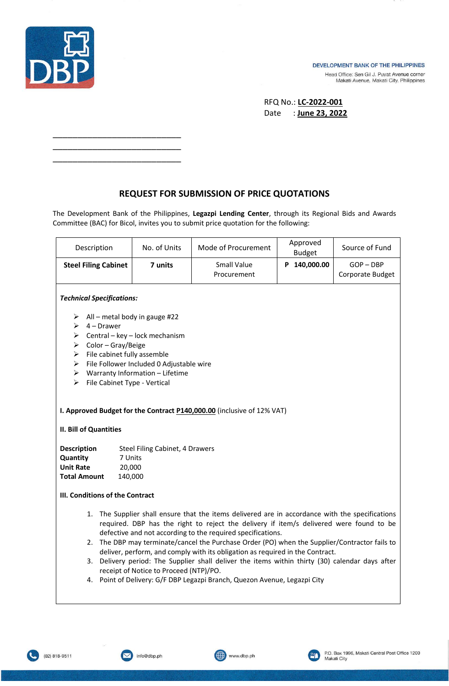

\_\_\_\_\_\_\_\_\_\_\_\_\_\_\_\_\_\_\_\_\_\_\_\_\_\_ \_\_\_\_\_\_\_\_\_\_\_\_\_\_\_\_\_\_\_\_\_\_\_\_\_\_ \_\_\_\_\_\_\_\_\_\_\_\_\_\_\_\_\_\_\_\_\_\_\_\_\_\_

## DEVELOPMENT BANK OF THE PHILIPPINES

Head Office: Sen Gil J. Puyat Avenue corner Makati Avenue, Makati City, Philippines

| RFQ No.: <b>LC-2022-001</b> |  |                 |
|-----------------------------|--|-----------------|
| Date                        |  | : June 23, 2022 |

## **REQUEST FOR SUBMISSION OF PRICE QUOTATIONS**

The Development Bank of the Philippines, **Legazpi Lending Center**, through its Regional Bids and Awards Committee (BAC) for Bicol, invites you to submit price quotation for the following:

| Description                                                                                                                                                                                                                                                                                                                                                                                                                                                                                                                                                                                                                                                                 | No. of Units | Mode of Procurement               | Approved<br><b>Budget</b> | Source of Fund                  |  |  |  |
|-----------------------------------------------------------------------------------------------------------------------------------------------------------------------------------------------------------------------------------------------------------------------------------------------------------------------------------------------------------------------------------------------------------------------------------------------------------------------------------------------------------------------------------------------------------------------------------------------------------------------------------------------------------------------------|--------------|-----------------------------------|---------------------------|---------------------------------|--|--|--|
| <b>Steel Filing Cabinet</b>                                                                                                                                                                                                                                                                                                                                                                                                                                                                                                                                                                                                                                                 | 7 units      | <b>Small Value</b><br>Procurement | P 140,000.00              | $GOP - DBP$<br>Corporate Budget |  |  |  |
| <b>Technical Specifications:</b>                                                                                                                                                                                                                                                                                                                                                                                                                                                                                                                                                                                                                                            |              |                                   |                           |                                 |  |  |  |
| All – metal body in gauge #22<br>➤<br>4 – Drawer<br>➤<br>Central - key - lock mechanism<br>➤<br>Color - Gray/Beige<br>➤<br>File cabinet fully assemble<br>≻<br>File Follower Included 0 Adjustable wire<br>$\blacktriangleright$<br>Warranty Information - Lifetime<br>$\blacktriangleright$<br>≻<br>File Cabinet Type - Vertical                                                                                                                                                                                                                                                                                                                                           |              |                                   |                           |                                 |  |  |  |
| I. Approved Budget for the Contract P140,000.00 (inclusive of 12% VAT)<br>II. Bill of Quantities                                                                                                                                                                                                                                                                                                                                                                                                                                                                                                                                                                            |              |                                   |                           |                                 |  |  |  |
| <b>Description</b><br>Steel Filing Cabinet, 4 Drawers<br>Quantity<br>7 Units<br><b>Unit Rate</b><br>20,000<br><b>Total Amount</b><br>140,000<br>III. Conditions of the Contract                                                                                                                                                                                                                                                                                                                                                                                                                                                                                             |              |                                   |                           |                                 |  |  |  |
| 1. The Supplier shall ensure that the items delivered are in accordance with the specifications<br>required. DBP has the right to reject the delivery if item/s delivered were found to be<br>defective and not according to the required specifications.<br>The DBP may terminate/cancel the Purchase Order (PO) when the Supplier/Contractor fails to<br>2.<br>deliver, perform, and comply with its obligation as required in the Contract.<br>Delivery period: The Supplier shall deliver the items within thirty (30) calendar days after<br>3.<br>receipt of Notice to Proceed (NTP)/PO.<br>4. Point of Delivery: G/F DBP Legazpi Branch, Quezon Avenue, Legazpi City |              |                                   |                           |                                 |  |  |  |